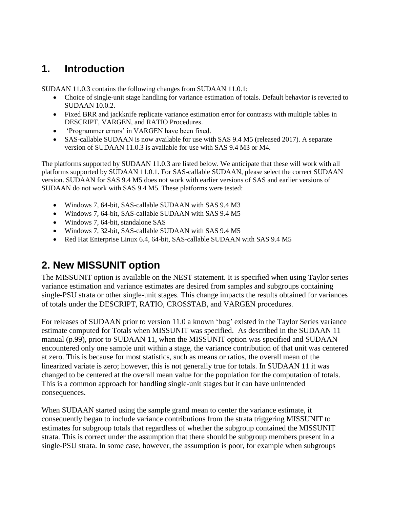# **1. Introduction**

SUDAAN 11.0.3 contains the following changes from SUDAAN 11.0.1:

- Choice of single-unit stage handling for variance estimation of totals. Default behavior is reverted to SUDAAN 10.0.2.
- Fixed BRR and jackknife replicate variance estimation error for contrasts with multiple tables in DESCRIPT, VARGEN, and RATIO Procedures.
- 'Programmer errors' in VARGEN have been fixed.
- SAS-callable SUDAAN is now available for use with SAS 9.4 M5 (released 2017). A separate version of SUDAAN 11.0.3 is available for use with SAS 9.4 M3 or M4.

The platforms supported by SUDAAN 11.0.3 are listed below. We anticipate that these will work with all platforms supported by SUDAAN 11.0.1. For SAS-callable SUDAAN, please select the correct SUDAAN version. SUDAAN for SAS 9.4 M5 does not work with earlier versions of SAS and earlier versions of SUDAAN do not work with SAS 9.4 M5. These platforms were tested:

- Windows 7, 64-bit, SAS-callable SUDAAN with SAS 9.4 M3
- Windows 7, 64-bit, SAS-callable SUDAAN with SAS 9.4 M5
- Windows 7, 64-bit, standalone SAS
- Windows 7, 32-bit, SAS-callable SUDAAN with SAS 9.4 M5
- Red Hat Enterprise Linux 6.4, 64-bit, SAS-callable SUDAAN with SAS 9.4 M5

# **2. New MISSUNIT option**

The MISSUNIT option is available on the NEST statement. It is specified when using Taylor series variance estimation and variance estimates are desired from samples and subgroups containing single-PSU strata or other single-unit stages. This change impacts the results obtained for variances of totals under the DESCRIPT, RATIO, CROSSTAB, and VARGEN procedures.

For releases of SUDAAN prior to version 11.0 a known 'bug' existed in the Taylor Series variance estimate computed for Totals when MISSUNIT was specified. As described in the SUDAAN 11 manual (p.99), prior to SUDAAN 11, when the MISSUNIT option was specified and SUDAAN encountered only one sample unit within a stage, the variance contribution of that unit was centered at zero. This is because for most statistics, such as means or ratios, the overall mean of the linearized variate is zero; however, this is not generally true for totals. In SUDAAN 11 it was changed to be centered at the overall mean value for the population for the computation of totals. This is a common approach for handling single-unit stages but it can have unintended consequences.

When SUDAAN started using the sample grand mean to center the variance estimate, it consequently began to include variance contributions from the strata triggering MISSUNIT to estimates for subgroup totals that regardless of whether the subgroup contained the MISSUNIT strata. This is correct under the assumption that there should be subgroup members present in a single-PSU strata. In some case, however, the assumption is poor, for example when subgroups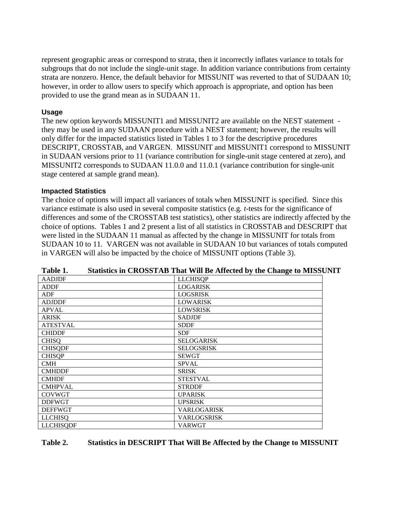represent geographic areas or correspond to strata, then it incorrectly inflates variance to totals for subgroups that do not include the single-unit stage. In addition variance contributions from certainty strata are nonzero. Hence, the default behavior for MISSUNIT was reverted to that of SUDAAN 10; however, in order to allow users to specify which approach is appropriate, and option has been provided to use the grand mean as in SUDAAN 11.

## **Usage**

The new option keywords MISSUNIT1 and MISSUNIT2 are available on the NEST statement they may be used in any SUDAAN procedure with a NEST statement; however, the results will only differ for the impacted statistics listed in Tables 1 to 3 for the descriptive procedures DESCRIPT, CROSSTAB, and VARGEN. MISSUNIT and MISSUNIT1 correspond to MISSUNIT in SUDAAN versions prior to 11 (variance contribution for single-unit stage centered at zero), and MISSUNIT2 corresponds to SUDAAN 11.0.0 and 11.0.1 (variance contribution for single-unit stage centered at sample grand mean).

## **Impacted Statistics**

The choice of options will impact all variances of totals when MISSUNIT is specified. Since this variance estimate is also used in several composite statistics (e.g. *t*-tests for the significance of differences and some of the CROSSTAB test statistics), other statistics are indirectly affected by the choice of options. Tables 1 and 2 present a list of all statistics in CROSSTAB and DESCRIPT that were listed in the SUDAAN 11 manual as affected by the change in MISSUNIT for totals from SUDAAN 10 to 11. VARGEN was not available in SUDAAN 10 but variances of totals computed in VARGEN will also be impacted by the choice of MISSUNIT options (Table 3).

|                  | $\cdots$ $\cdots$ $\cdots$ $\cdots$ $\cdots$ $\cdots$ |
|------------------|-------------------------------------------------------|
| <b>AADJDF</b>    | <b>LLCHISQP</b>                                       |
| <b>ADDF</b>      | <b>LOGARISK</b>                                       |
| ADF              | <b>LOGSRISK</b>                                       |
| <b>ADJDDF</b>    | <b>LOWARISK</b>                                       |
| <b>APVAL</b>     | <b>LOWSRISK</b>                                       |
| <b>ARISK</b>     | <b>SADJDF</b>                                         |
| <b>ATESTVAL</b>  | <b>SDDF</b>                                           |
| <b>CHIDDF</b>    | <b>SDF</b>                                            |
| <b>CHISQ</b>     | <b>SELOGARISK</b>                                     |
| <b>CHISQDF</b>   | <b>SELOGSRISK</b>                                     |
| <b>CHISOP</b>    | <b>SEWGT</b>                                          |
| <b>CMH</b>       | <b>SPVAL</b>                                          |
| <b>CMHDDF</b>    | <b>SRISK</b>                                          |
| <b>CMHDF</b>     | <b>STESTVAL</b>                                       |
| <b>CMHPVAL</b>   | <b>STRDDF</b>                                         |
| <b>COVWGT</b>    | <b>UPARISK</b>                                        |
| <b>DDFWGT</b>    | <b>UPSRISK</b>                                        |
| <b>DEFFWGT</b>   | VARLOGARISK                                           |
| <b>LLCHISQ</b>   | VARLOGSRISK                                           |
| <b>LLCHISQDF</b> | <b>VARWGT</b>                                         |

| Table 1. |  |  | Statistics in CROSSTAB That Will Be Affected by the Change to MISSUNIT |
|----------|--|--|------------------------------------------------------------------------|
|          |  |  |                                                                        |

## **Table 2. Statistics in DESCRIPT That Will Be Affected by the Change to MISSUNIT**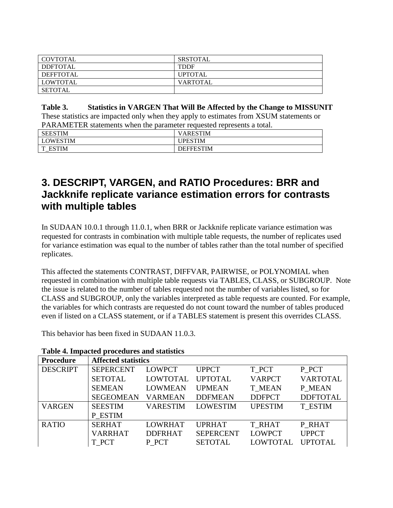| I COVTOTAL      | SRSTOTAL        |
|-----------------|-----------------|
| <b>DDFTOTAL</b> | <b>TDDF</b>     |
| DEFFTOTAL       | <b>UPTOTAL</b>  |
| <b>LOWTOTAL</b> | <b>VARTOTAL</b> |
| SETOTAL         |                 |

## **Table 3. Statistics in VARGEN That Will Be Affected by the Change to MISSUNIT**

These statistics are impacted only when they apply to estimates from XSUM statements or PARAMETER statements when the parameter requested represents a total.

| <b>SEESTIM</b>         | 'ARESTIM         |
|------------------------|------------------|
| <b>LOWESTIM</b>        | <b>IPESTIM</b>   |
| <b>ESTIM</b><br>௱<br>_ | <b>DEFFESTIM</b> |

## **3. DESCRIPT, VARGEN, and RATIO Procedures: BRR and Jackknife replicate variance estimation errors for contrasts with multiple tables**

In SUDAAN 10.0.1 through 11.0.1, when BRR or Jackknife replicate variance estimation was requested for contrasts in combination with multiple table requests, the number of replicates used for variance estimation was equal to the number of tables rather than the total number of specified replicates.

This affected the statements CONTRAST, DIFFVAR, PAIRWISE, or POLYNOMIAL when requested in combination with multiple table requests via TABLES, CLASS, or SUBGROUP. Note the issue is related to the number of tables requested not the number of variables listed, so for CLASS and SUBGROUP, only the variables interpreted as table requests are counted. For example, the variables for which contrasts are requested do not count toward the number of tables produced even if listed on a CLASS statement, or if a TABLES statement is present this overrides CLASS.

This behavior has been fixed in SUDAAN 11.0.3.

| <b>Procedure</b> | <b>Affected statistics</b> |                 |                  |                 |                 |
|------------------|----------------------------|-----------------|------------------|-----------------|-----------------|
| <b>DESCRIPT</b>  | <b>SEPERCENT</b>           | <b>LOWPCT</b>   | <b>UPPCT</b>     | T PCT           | P PCT           |
|                  | <b>SETOTAL</b>             | <b>LOWTOTAL</b> | <b>UPTOTAL</b>   | <b>VARPCT</b>   | <b>VARTOTAL</b> |
|                  | <b>SEMEAN</b>              | <b>LOWMEAN</b>  | <b>UPMEAN</b>    | <b>T MEAN</b>   | P MEAN          |
|                  | <b>SEGEOMEAN</b>           | <b>VARMEAN</b>  | <b>DDFMEAN</b>   | <b>DDFPCT</b>   | <b>DDFTOTAL</b> |
| <b>VARGEN</b>    | <b>SEESTIM</b>             | <b>VARESTIM</b> | <b>LOWESTIM</b>  | <b>UPESTIM</b>  | <b>T ESTIM</b>  |
|                  | P ESTIM                    |                 |                  |                 |                 |
| <b>RATIO</b>     | <b>SERHAT</b>              | <b>LOWRHAT</b>  | <b>UPRHAT</b>    | <b>T RHAT</b>   | P RHAT          |
|                  | <b>VARRHAT</b>             | <b>DDFRHAT</b>  | <b>SEPERCENT</b> | <b>LOWPCT</b>   | <b>UPPCT</b>    |
|                  | T PCT                      | P PCT           | <b>SETOTAL</b>   | <b>LOWTOTAL</b> | <b>UPTOTAL</b>  |

## **Table 4. Impacted procedures and statistics**